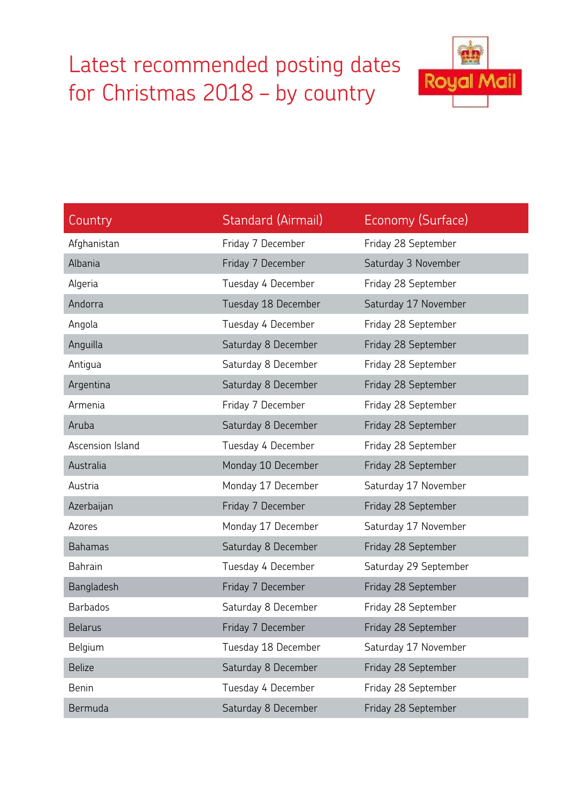## Latest recommended posting dates for Christmas 2018 – by country



| Country          | Standard (Airmail)  | Economy (Surface)     |
|------------------|---------------------|-----------------------|
| Afghanistan      | Friday 7 December   | Friday 28 September   |
| Albania          | Friday 7 December   | Saturday 3 November   |
| Algeria          | Tuesday 4 December  | Friday 28 September   |
| Andorra          | Tuesday 18 December | Saturday 17 November  |
| Angola           | Tuesday 4 December  | Friday 28 September   |
| Anguilla         | Saturday 8 December | Friday 28 September   |
| Antigua          | Saturday 8 December | Friday 28 September   |
| Argentina        | Saturday 8 December | Friday 28 September   |
| Armenia          | Friday 7 December   | Friday 28 September   |
| Aruba            | Saturday 8 December | Friday 28 September   |
| Ascension Island | Tuesday 4 December  | Friday 28 September   |
| Australia        | Monday 10 December  | Friday 28 September   |
| Austria          | Monday 17 December  | Saturday 17 November  |
| Azerbaijan       | Friday 7 December   | Friday 28 September   |
| Azores           | Monday 17 December  | Saturday 17 November  |
| <b>Bahamas</b>   | Saturday 8 December | Friday 28 September   |
| Bahrain          | Tuesday 4 December  | Saturday 29 September |
| Bangladesh       | Friday 7 December   | Friday 28 September   |
| <b>Barbados</b>  | Saturday 8 December | Friday 28 September   |
| <b>Belarus</b>   | Friday 7 December   | Friday 28 September   |
| Belgium          | Tuesday 18 December | Saturday 17 November  |
| <b>Belize</b>    | Saturday 8 December | Friday 28 September   |
| <b>Benin</b>     | Tuesday 4 December  | Friday 28 September   |
| Bermuda          | Saturday 8 December | Friday 28 September   |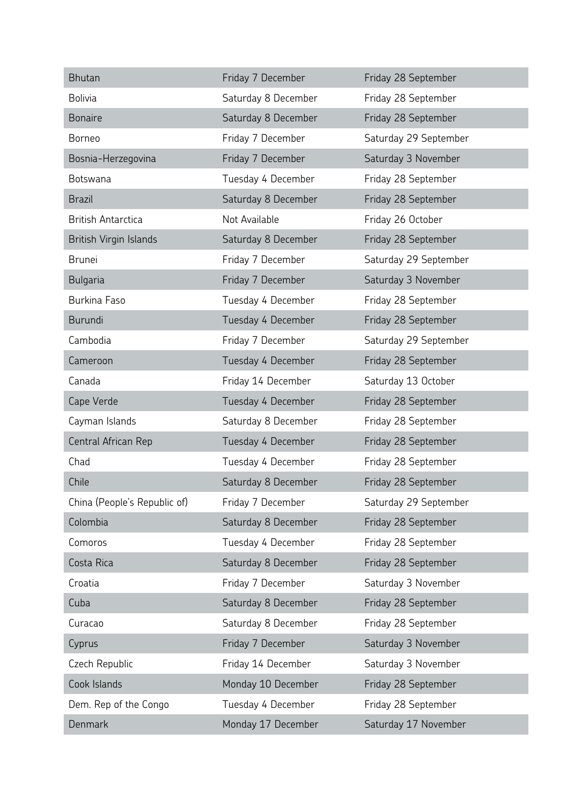| <b>Bhutan</b>                | Friday 7 December   | Friday 28 September   |
|------------------------------|---------------------|-----------------------|
| <b>Bolivia</b>               | Saturday 8 December | Friday 28 September   |
| <b>Bonaire</b>               | Saturday 8 December | Friday 28 September   |
| <b>Borneo</b>                | Friday 7 December   | Saturday 29 September |
| Bosnia-Herzegovina           | Friday 7 December   | Saturday 3 November   |
| Botswana                     | Tuesday 4 December  | Friday 28 September   |
| <b>Brazil</b>                | Saturday 8 December | Friday 28 September   |
| <b>British Antarctica</b>    | Not Available       | Friday 26 October     |
| British Virgin Islands       | Saturday 8 December | Friday 28 September   |
| <b>Brunei</b>                | Friday 7 December   | Saturday 29 September |
| Bulgaria                     | Friday 7 December   | Saturday 3 November   |
| <b>Burkina Faso</b>          | Tuesday 4 December  | Friday 28 September   |
| Burundi                      | Tuesday 4 December  | Friday 28 September   |
| Cambodia                     | Friday 7 December   | Saturday 29 September |
| Cameroon                     | Tuesday 4 December  | Friday 28 September   |
| Canada                       | Friday 14 December  | Saturday 13 October   |
| Cape Verde                   | Tuesday 4 December  | Friday 28 September   |
| Cayman Islands               | Saturday 8 December | Friday 28 September   |
| Central African Rep          | Tuesday 4 December  | Friday 28 September   |
| Chad                         | Tuesday 4 December  | Friday 28 September   |
| Chile                        | Saturday 8 December | Friday 28 September   |
| China (People's Republic of) | Friday 7 December   | Saturday 29 September |
| Colombia                     | Saturday 8 December | Friday 28 September   |
| Comoros                      | Tuesday 4 December  | Friday 28 September   |
| Costa Rica                   | Saturday 8 December | Friday 28 September   |
| Croatia                      | Friday 7 December   | Saturday 3 November   |
| Cuba                         | Saturday 8 December | Friday 28 September   |
| Curacao                      | Saturday 8 December | Friday 28 September   |
| Cyprus                       | Friday 7 December   | Saturday 3 November   |
| Czech Republic               | Friday 14 December  | Saturday 3 November   |
| Cook Islands                 | Monday 10 December  | Friday 28 September   |
| Dem. Rep of the Congo        | Tuesday 4 December  | Friday 28 September   |
| Denmark                      | Monday 17 December  | Saturday 17 November  |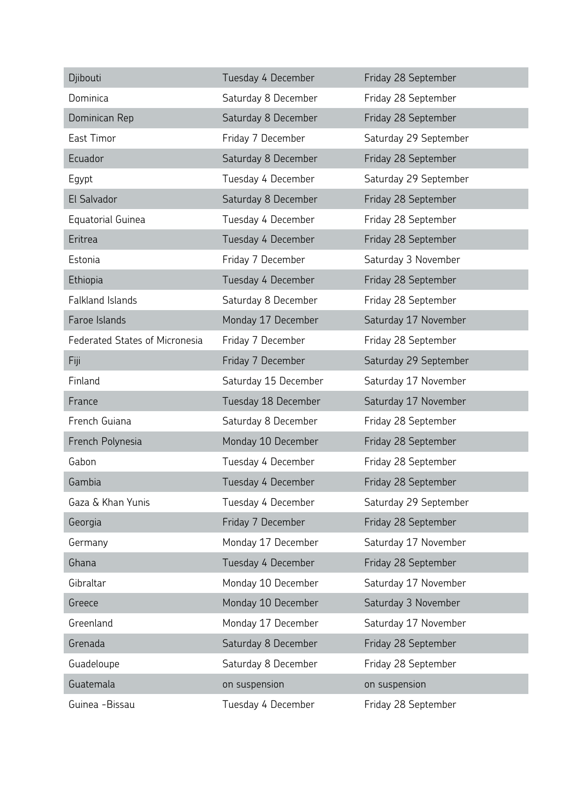| Djibouti                              | Tuesday 4 December   | Friday 28 September   |
|---------------------------------------|----------------------|-----------------------|
| Dominica                              | Saturday 8 December  | Friday 28 September   |
| Dominican Rep                         | Saturday 8 December  | Friday 28 September   |
| East Timor                            | Friday 7 December    | Saturday 29 September |
| Ecuador                               | Saturday 8 December  | Friday 28 September   |
| Egypt                                 | Tuesday 4 December   | Saturday 29 September |
| El Salvador                           | Saturday 8 December  | Friday 28 September   |
| <b>Equatorial Guinea</b>              | Tuesday 4 December   | Friday 28 September   |
| Eritrea                               | Tuesday 4 December   | Friday 28 September   |
| Estonia                               | Friday 7 December    | Saturday 3 November   |
| Ethiopia                              | Tuesday 4 December   | Friday 28 September   |
| <b>Falkland Islands</b>               | Saturday 8 December  | Friday 28 September   |
| Faroe Islands                         | Monday 17 December   | Saturday 17 November  |
| <b>Federated States of Micronesia</b> | Friday 7 December    | Friday 28 September   |
| Fiji                                  | Friday 7 December    | Saturday 29 September |
| Finland                               | Saturday 15 December | Saturday 17 November  |
| France                                | Tuesday 18 December  | Saturday 17 November  |
| French Guiana                         | Saturday 8 December  | Friday 28 September   |
| French Polynesia                      | Monday 10 December   | Friday 28 September   |
| Gabon                                 | Tuesday 4 December   | Friday 28 September   |
| Gambia                                | Tuesday 4 December   | Friday 28 September   |
| Gaza & Khan Yunis                     | Tuesday 4 December   | Saturday 29 September |
| Georgia                               | Friday 7 December    | Friday 28 September   |
| Germany                               | Monday 17 December   | Saturday 17 November  |
| Ghana                                 | Tuesday 4 December   | Friday 28 September   |
| Gibraltar                             | Monday 10 December   | Saturday 17 November  |
| Greece                                | Monday 10 December   | Saturday 3 November   |
| Greenland                             | Monday 17 December   | Saturday 17 November  |
| Grenada                               | Saturday 8 December  | Friday 28 September   |
| Guadeloupe                            | Saturday 8 December  | Friday 28 September   |
| Guatemala                             | on suspension        | on suspension         |
| Guinea -Bissau                        | Tuesday 4 December   | Friday 28 September   |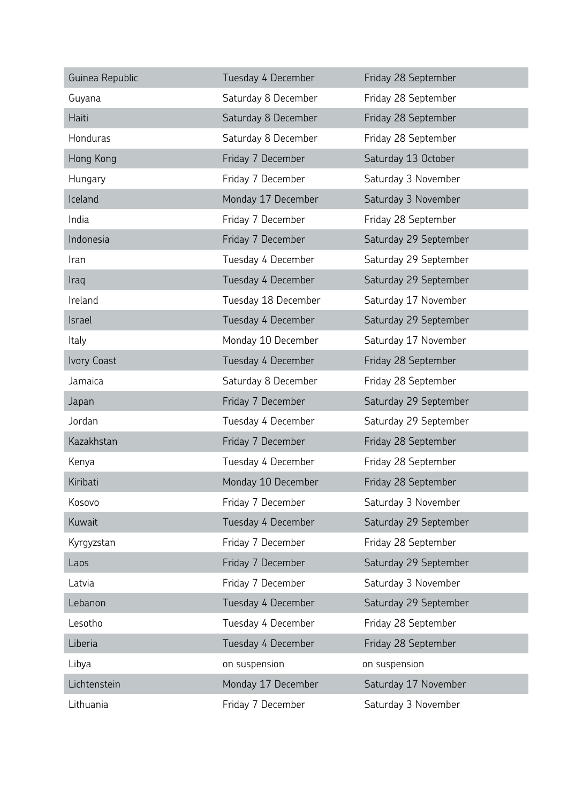| Guinea Republic | Tuesday 4 December  | Friday 28 September   |
|-----------------|---------------------|-----------------------|
| Guyana          | Saturday 8 December | Friday 28 September   |
| Haiti           | Saturday 8 December | Friday 28 September   |
| Honduras        | Saturday 8 December | Friday 28 September   |
| Hong Kong       | Friday 7 December   | Saturday 13 October   |
| Hungary         | Friday 7 December   | Saturday 3 November   |
| Iceland         | Monday 17 December  | Saturday 3 November   |
| India           | Friday 7 December   | Friday 28 September   |
| Indonesia       | Friday 7 December   | Saturday 29 September |
| Iran            | Tuesday 4 December  | Saturday 29 September |
| Iraq            | Tuesday 4 December  | Saturday 29 September |
| Ireland         | Tuesday 18 December | Saturday 17 November  |
| Israel          | Tuesday 4 December  | Saturday 29 September |
| <b>Italy</b>    | Monday 10 December  | Saturday 17 November  |
| Ivory Coast     | Tuesday 4 December  | Friday 28 September   |
| Jamaica         | Saturday 8 December | Friday 28 September   |
| Japan           | Friday 7 December   | Saturday 29 September |
| Jordan          | Tuesday 4 December  | Saturday 29 September |
| Kazakhstan      | Friday 7 December   | Friday 28 September   |
| Kenya           | Tuesday 4 December  | Friday 28 September   |
| Kiribati        | Monday 10 December  | Friday 28 September   |
| Kosovo          | Friday 7 December   | Saturday 3 November   |
| Kuwait          | Tuesday 4 December  | Saturday 29 September |
| Kyrgyzstan      | Friday 7 December   | Friday 28 September   |
| Laos            | Friday 7 December   | Saturday 29 September |
| Latvia          | Friday 7 December   | Saturday 3 November   |
| Lebanon         | Tuesday 4 December  | Saturday 29 September |
| Lesotho         | Tuesday 4 December  | Friday 28 September   |
| Liberia         | Tuesday 4 December  | Friday 28 September   |
| Libya           | on suspension       | on suspension         |
| Lichtenstein    | Monday 17 December  | Saturday 17 November  |
| Lithuania       | Friday 7 December   | Saturday 3 November   |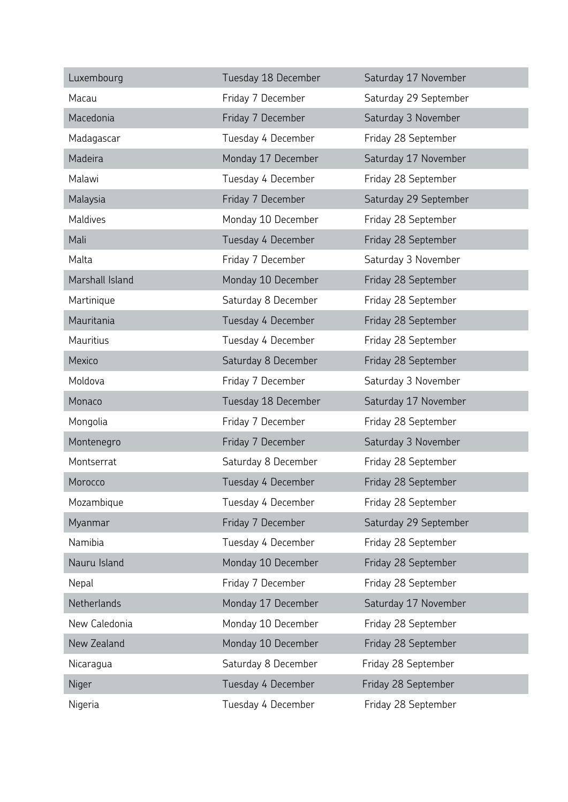| Luxembourg      | Tuesday 18 December | Saturday 17 November  |
|-----------------|---------------------|-----------------------|
| Macau           | Friday 7 December   | Saturday 29 September |
| Macedonia       | Friday 7 December   | Saturday 3 November   |
| Madagascar      | Tuesday 4 December  | Friday 28 September   |
| Madeira         | Monday 17 December  | Saturday 17 November  |
| Malawi          | Tuesday 4 December  | Friday 28 September   |
| Malaysia        | Friday 7 December   | Saturday 29 September |
| Maldives        | Monday 10 December  | Friday 28 September   |
| Mali            | Tuesday 4 December  | Friday 28 September   |
| Malta           | Friday 7 December   | Saturday 3 November   |
| Marshall Island | Monday 10 December  | Friday 28 September   |
| Martinique      | Saturday 8 December | Friday 28 September   |
| Mauritania      | Tuesday 4 December  | Friday 28 September   |
| Mauritius       | Tuesday 4 December  | Friday 28 September   |
| Mexico          | Saturday 8 December | Friday 28 September   |
| Moldova         | Friday 7 December   | Saturday 3 November   |
| Monaco          | Tuesday 18 December | Saturday 17 November  |
| Mongolia        | Friday 7 December   | Friday 28 September   |
| Montenegro      | Friday 7 December   | Saturday 3 November   |
| Montserrat      | Saturday 8 December | Friday 28 September   |
| Morocco         | Tuesday 4 December  | Friday 28 September   |
| Mozambique      | Tuesday 4 December  | Friday 28 September   |
| Myanmar         | Friday 7 December   | Saturday 29 September |
| Namibia         | Tuesday 4 December  | Friday 28 September   |
| Nauru Island    | Monday 10 December  | Friday 28 September   |
| Nepal           | Friday 7 December   | Friday 28 September   |
| Netherlands     | Monday 17 December  | Saturday 17 November  |
| New Caledonia   | Monday 10 December  | Friday 28 September   |
| New Zealand     | Monday 10 December  | Friday 28 September   |
| Nicaragua       | Saturday 8 December | Friday 28 September   |
| Niger           | Tuesday 4 December  | Friday 28 September   |
| Nigeria         | Tuesday 4 December  | Friday 28 September   |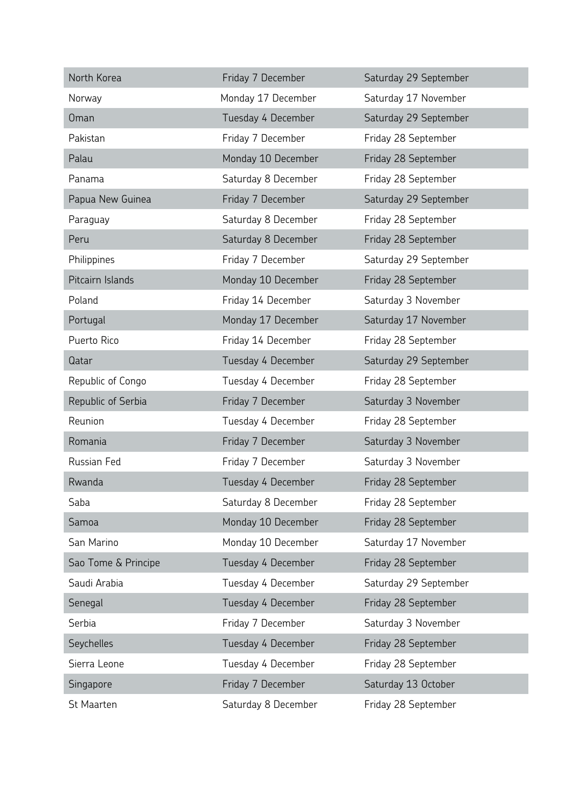| North Korea         | Friday 7 December   | Saturday 29 September |
|---------------------|---------------------|-----------------------|
| Norway              | Monday 17 December  | Saturday 17 November  |
| <b>Oman</b>         | Tuesday 4 December  | Saturday 29 September |
| Pakistan            | Friday 7 December   | Friday 28 September   |
| Palau               | Monday 10 December  | Friday 28 September   |
| Panama              | Saturday 8 December | Friday 28 September   |
| Papua New Guinea    | Friday 7 December   | Saturday 29 September |
| Paraguay            | Saturday 8 December | Friday 28 September   |
| Peru                | Saturday 8 December | Friday 28 September   |
| Philippines         | Friday 7 December   | Saturday 29 September |
| Pitcairn Islands    | Monday 10 December  | Friday 28 September   |
| Poland              | Friday 14 December  | Saturday 3 November   |
| Portugal            | Monday 17 December  | Saturday 17 November  |
| Puerto Rico         | Friday 14 December  | Friday 28 September   |
| Qatar               | Tuesday 4 December  | Saturday 29 September |
| Republic of Congo   | Tuesday 4 December  | Friday 28 September   |
| Republic of Serbia  | Friday 7 December   | Saturday 3 November   |
| Reunion             | Tuesday 4 December  | Friday 28 September   |
| Romania             | Friday 7 December   | Saturday 3 November   |
| Russian Fed         | Friday 7 December   | Saturday 3 November   |
| Rwanda              | Tuesday 4 December  | Friday 28 September   |
| Saba                | Saturday 8 December | Friday 28 September   |
| Samoa               | Monday 10 December  | Friday 28 September   |
| San Marino          | Monday 10 December  | Saturday 17 November  |
| Sao Tome & Principe | Tuesday 4 December  | Friday 28 September   |
| Saudi Arabia        | Tuesday 4 December  | Saturday 29 September |
| Senegal             | Tuesday 4 December  | Friday 28 September   |
| Serbia              | Friday 7 December   | Saturday 3 November   |
| Seychelles          | Tuesday 4 December  | Friday 28 September   |
| Sierra Leone        | Tuesday 4 December  | Friday 28 September   |
| Singapore           | Friday 7 December   | Saturday 13 October   |
| St Maarten          | Saturday 8 December | Friday 28 September   |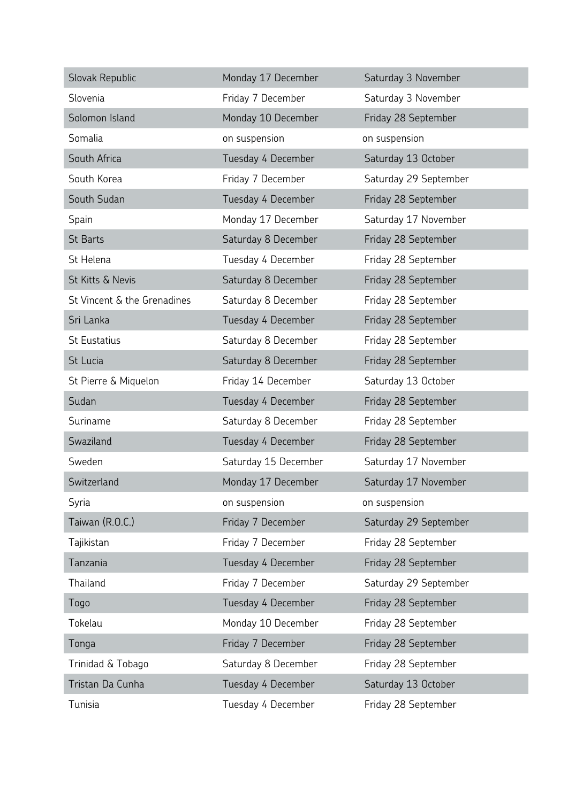| Slovak Republic             | Monday 17 December   | Saturday 3 November   |
|-----------------------------|----------------------|-----------------------|
| Slovenia                    | Friday 7 December    | Saturday 3 November   |
| Solomon Island              | Monday 10 December   | Friday 28 September   |
| Somalia                     | on suspension        | on suspension         |
| South Africa                | Tuesday 4 December   | Saturday 13 October   |
| South Korea                 | Friday 7 December    | Saturday 29 September |
| South Sudan                 | Tuesday 4 December   | Friday 28 September   |
| Spain                       | Monday 17 December   | Saturday 17 November  |
| <b>St Barts</b>             | Saturday 8 December  | Friday 28 September   |
| St Helena                   | Tuesday 4 December   | Friday 28 September   |
| St Kitts & Nevis            | Saturday 8 December  | Friday 28 September   |
| St Vincent & the Grenadines | Saturday 8 December  | Friday 28 September   |
| Sri Lanka                   | Tuesday 4 December   | Friday 28 September   |
| <b>St Eustatius</b>         | Saturday 8 December  | Friday 28 September   |
| St Lucia                    | Saturday 8 December  | Friday 28 September   |
| St Pierre & Miquelon        | Friday 14 December   | Saturday 13 October   |
| Sudan                       | Tuesday 4 December   | Friday 28 September   |
| Suriname                    | Saturday 8 December  | Friday 28 September   |
| Swaziland                   | Tuesday 4 December   | Friday 28 September   |
| Sweden                      | Saturday 15 December | Saturday 17 November  |
| Switzerland                 | Monday 17 December   | Saturday 17 November  |
| Syria                       | on suspension        | on suspension         |
| Taiwan (R.O.C.)             | Friday 7 December    | Saturday 29 September |
| Tajikistan                  | Friday 7 December    | Friday 28 September   |
| Tanzania                    | Tuesday 4 December   | Friday 28 September   |
| Thailand                    | Friday 7 December    | Saturday 29 September |
| Togo                        | Tuesday 4 December   | Friday 28 September   |
| Tokelau                     | Monday 10 December   | Friday 28 September   |
| Tonga                       | Friday 7 December    | Friday 28 September   |
| Trinidad & Tobago           | Saturday 8 December  | Friday 28 September   |
| Tristan Da Cunha            | Tuesday 4 December   | Saturday 13 October   |
| Tunisia                     | Tuesday 4 December   | Friday 28 September   |